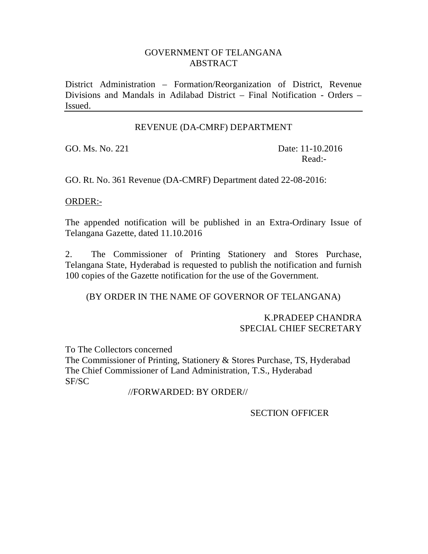## GOVERNMENT OF TELANGANA ABSTRACT

District Administration – Formation/Reorganization of District, Revenue Divisions and Mandals in Adilabad District – Final Notification - Orders – Issued.

#### REVENUE (DA-CMRF) DEPARTMENT

GO. Ms. No. 221 Date: 11-10.2016 Read:-

GO. Rt. No. 361 Revenue (DA-CMRF) Department dated 22-08-2016:

### ORDER:-

The appended notification will be published in an Extra-Ordinary Issue of Telangana Gazette, dated 11.10.2016

2. The Commissioner of Printing Stationery and Stores Purchase, Telangana State, Hyderabad is requested to publish the notification and furnish 100 copies of the Gazette notification for the use of the Government.

(BY ORDER IN THE NAME OF GOVERNOR OF TELANGANA)

#### K.PRADEEP CHANDRA SPECIAL CHIEF SECRETARY

To The Collectors concerned

The Commissioner of Printing, Stationery & Stores Purchase, TS, Hyderabad The Chief Commissioner of Land Administration, T.S., Hyderabad SF/SC

//FORWARDED: BY ORDER//

SECTION OFFICER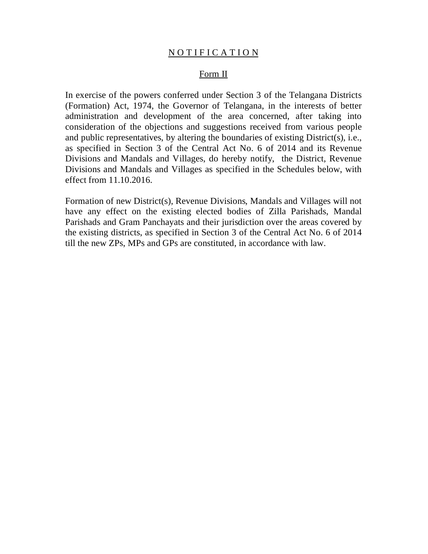### NOTIFICATION

#### Form II

In exercise of the powers conferred under Section 3 of the Telangana Districts (Formation) Act, 1974, the Governor of Telangana, in the interests of better administration and development of the area concerned, after taking into consideration of the objections and suggestions received from various people and public representatives, by altering the boundaries of existing District(s), i.e., as specified in Section 3 of the Central Act No. 6 of 2014 and its Revenue Divisions and Mandals and Villages, do hereby notify, the District, Revenue Divisions and Mandals and Villages as specified in the Schedules below, with effect from 11.10.2016.

Formation of new District(s), Revenue Divisions, Mandals and Villages will not have any effect on the existing elected bodies of Zilla Parishads, Mandal Parishads and Gram Panchayats and their jurisdiction over the areas covered by the existing districts, as specified in Section 3 of the Central Act No. 6 of 2014 till the new ZPs, MPs and GPs are constituted, in accordance with law.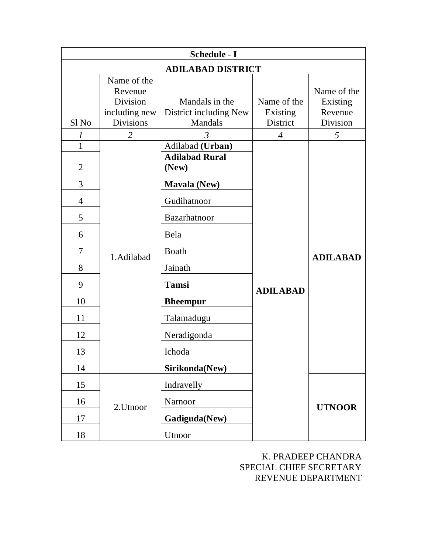| <b>Schedule - I</b> |                                                                         |                                                     |                                     |                                                |  |
|---------------------|-------------------------------------------------------------------------|-----------------------------------------------------|-------------------------------------|------------------------------------------------|--|
|                     | <b>ADILABAD DISTRICT</b>                                                |                                                     |                                     |                                                |  |
| Sl <sub>No</sub>    | Name of the<br>Revenue<br>Division<br>including new<br><b>Divisions</b> | Mandals in the<br>District including New<br>Mandals | Name of the<br>Existing<br>District | Name of the<br>Existing<br>Revenue<br>Division |  |
| 1                   | $\overline{2}$                                                          | $\mathfrak{Z}$                                      | $\overline{4}$                      | 5                                              |  |
| 1<br>$\overline{2}$ |                                                                         | Adilabad (Urban)<br><b>Adilabad Rural</b><br>(New)  |                                     |                                                |  |
| 3                   |                                                                         | <b>Mavala (New)</b>                                 |                                     |                                                |  |
| $\overline{4}$      |                                                                         | Gudihatnoor                                         |                                     |                                                |  |
| 5                   |                                                                         | Bazarhatnoor                                        |                                     |                                                |  |
| 6                   |                                                                         | Bela                                                |                                     |                                                |  |
| 7                   | 1.Adilabad                                                              | Boath                                               |                                     | <b>ADILABAD</b>                                |  |
| 8                   |                                                                         | Jainath                                             |                                     |                                                |  |
| 9                   |                                                                         | <b>Tamsi</b>                                        | <b>ADILABAD</b>                     |                                                |  |
| 10                  |                                                                         | <b>Bheempur</b>                                     |                                     |                                                |  |
| 11                  |                                                                         | Talamadugu                                          |                                     |                                                |  |
| 12                  |                                                                         | Neradigonda                                         |                                     |                                                |  |
| 13                  |                                                                         | Ichoda                                              |                                     |                                                |  |
| 14                  |                                                                         | Sirikonda(New)                                      |                                     |                                                |  |
| 15                  |                                                                         | Indravelly                                          |                                     |                                                |  |
| 16                  | 2.Utnoor                                                                | Narnoor                                             |                                     | <b>UTNOOR</b>                                  |  |
| 17                  |                                                                         | Gadiguda(New)                                       |                                     |                                                |  |
| 18                  |                                                                         | Utnoor                                              |                                     |                                                |  |

K. PRADEEP CHANDRA SPECIAL CHIEF SECRETARY REVENUE DEPARTMENT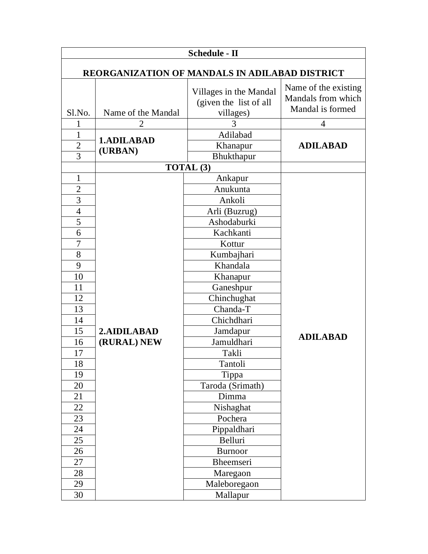| <b>Schedule - II</b>                                                                                                                             |                            |                                                                                                                                                                                                                                                             |                                                                |  |
|--------------------------------------------------------------------------------------------------------------------------------------------------|----------------------------|-------------------------------------------------------------------------------------------------------------------------------------------------------------------------------------------------------------------------------------------------------------|----------------------------------------------------------------|--|
| REORGANIZATION OF MANDALS IN ADILABAD DISTRICT                                                                                                   |                            |                                                                                                                                                                                                                                                             |                                                                |  |
| $S1$ . No.                                                                                                                                       | Name of the Mandal         | Villages in the Mandal<br>(given the list of all<br>villages)                                                                                                                                                                                               | Name of the existing<br>Mandals from which<br>Mandal is formed |  |
| 1                                                                                                                                                | 2                          | 3                                                                                                                                                                                                                                                           | $\overline{4}$                                                 |  |
| $\mathbf{1}$<br>$\overline{c}$<br>3                                                                                                              | 1.ADILABAD<br>(URBAN)      | Adilabad<br>Khanapur<br>Bhukthapur                                                                                                                                                                                                                          | <b>ADILABAD</b>                                                |  |
|                                                                                                                                                  |                            | TOTAL (3)                                                                                                                                                                                                                                                   |                                                                |  |
| $\mathbf{1}$<br>$\overline{2}$<br>3<br>$\overline{4}$<br>5<br>6<br>7<br>8<br>9<br>10<br>11<br>12<br>13<br>14<br>15<br>16<br>17<br>18<br>19<br>20 | 2.AIDILABAD<br>(RURAL) NEW | Ankapur<br>Anukunta<br>Ankoli<br>Arli (Buzrug)<br>Ashodaburki<br>Kachkanti<br>Kottur<br>Kumbajhari<br>Khandala<br>Khanapur<br>Ganeshpur<br>Chinchughat<br>Chanda-T<br>Chichdhari<br>Jamdapur<br>Jamuldhari<br>Takli<br>Tantoli<br>Tippa<br>Taroda (Srimath) | <b>ADILABAD</b>                                                |  |
| 21<br>22<br>23<br>24<br>25<br>26<br>27<br>28<br>29<br>30                                                                                         |                            | Dimma<br>Nishaghat<br>Pochera<br>Pippaldhari<br>Belluri<br><b>Burnoor</b><br>Bheemseri<br>Maregaon<br>Maleboregaon<br>Mallapur                                                                                                                              |                                                                |  |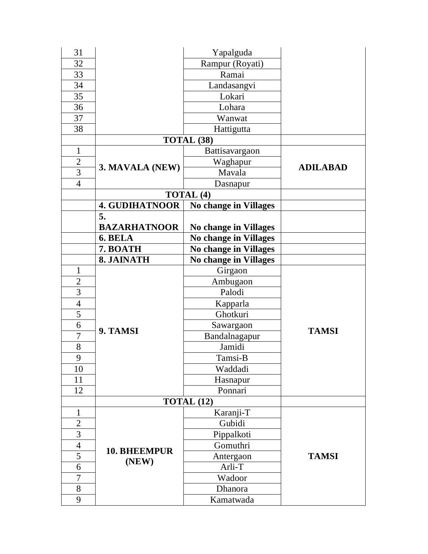| 31             |                              | Yapalguda                    |                 |
|----------------|------------------------------|------------------------------|-----------------|
| 32             |                              | Rampur (Royati)              |                 |
| 33             |                              | Ramai                        |                 |
| 34             |                              | Landasangvi                  |                 |
| 35             |                              | Lokari                       |                 |
| 36             |                              | Lohara                       |                 |
| 37             |                              | Wanwat                       |                 |
| 38             |                              | Hattigutta                   |                 |
|                |                              | TOTAL (38)                   |                 |
| $\mathbf{1}$   |                              | Battisavargaon               |                 |
| $\mathfrak{2}$ |                              | Waghapur                     |                 |
| 3              | 3. MAVALA (NEW)              | Mavala                       | <b>ADILABAD</b> |
| $\overline{4}$ |                              | Dasnapur                     |                 |
|                |                              | <b>TOTAL (4)</b>             |                 |
|                | <b>4. GUDIHATNOOR</b>        | <b>No change in Villages</b> |                 |
|                | 5.                           |                              |                 |
|                | <b>BAZARHATNOOR</b>          | <b>No change in Villages</b> |                 |
|                | 6. BELA                      | <b>No change in Villages</b> |                 |
|                | 7. BOATH                     | <b>No change in Villages</b> |                 |
|                | 8. JAINATH                   | <b>No change in Villages</b> |                 |
| 1              |                              | Girgaon                      |                 |
| $\overline{c}$ |                              | Ambugaon                     |                 |
| $\overline{3}$ |                              | Palodi                       |                 |
| $\overline{4}$ |                              | Kapparla                     |                 |
| $\overline{5}$ |                              | Ghotkuri                     |                 |
| 6              | 9. TAMSI                     | Sawargaon                    | <b>TAMSI</b>    |
| 7              |                              | Bandalnagapur                |                 |
| $8\,$          |                              | Jamidi                       |                 |
| 9              |                              | Tamsi-B                      |                 |
| 10             |                              | Waddadi                      |                 |
| 11             |                              | Hasnapur                     |                 |
| 12             |                              | Ponnari                      |                 |
|                | TOTAL (12)                   |                              |                 |
| $\mathbf{1}$   |                              | Karanji-T                    |                 |
| $\overline{2}$ |                              | Gubidi                       |                 |
| 3              | <b>10. BHEEMPUR</b><br>(NEW) | Pippalkoti                   |                 |
| $\overline{4}$ |                              | Gomuthri                     |                 |
| 5              |                              | Antergaon                    | <b>TAMSI</b>    |
| 6              |                              | Arli-T                       |                 |
| $\overline{7}$ |                              | Wadoor                       |                 |
| 8              |                              | Dhanora                      |                 |
| 9              |                              | Kamatwada                    |                 |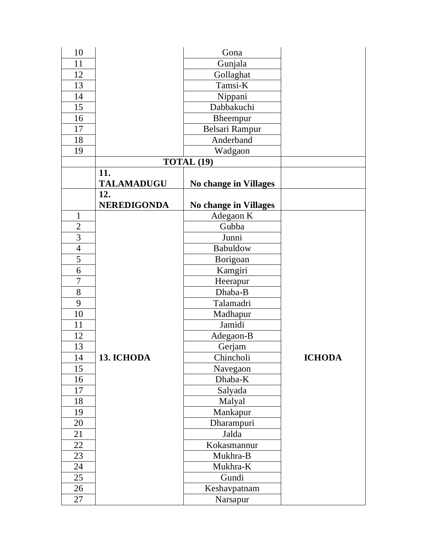| 10             |                    | Gona                  |               |
|----------------|--------------------|-----------------------|---------------|
| 11             |                    | Gunjala               |               |
| 12             |                    | Gollaghat             |               |
| 13             |                    | Tamsi-K               |               |
| 14             |                    | Nippani               |               |
| 15             |                    | Dabbakuchi            |               |
| 16             |                    | Bheempur              |               |
| 17             |                    | Belsari Rampur        |               |
| 18             |                    | Anderband             |               |
| 19             |                    | Wadgaon               |               |
|                |                    | <b>TOTAL (19)</b>     |               |
|                | 11.                |                       |               |
|                | <b>TALAMADUGU</b>  | No change in Villages |               |
|                | 12.                |                       |               |
|                | <b>NEREDIGONDA</b> | No change in Villages |               |
| $\mathbf{1}$   |                    | Adegaon K             |               |
| $\overline{2}$ |                    | Gubba                 |               |
| 3              |                    | Junni                 |               |
| $\overline{4}$ |                    | Babuldow              |               |
| 5              |                    | Borigoan              |               |
| 6              |                    | Kamgiri               |               |
| $\overline{7}$ |                    | Heerapur              |               |
| $8\,$          |                    | Dhaba-B               |               |
| 9              |                    | Talamadri             |               |
| 10             |                    | Madhapur              |               |
| 11             |                    | Jamidi                |               |
| 12             |                    | Adegaon-B             |               |
| 13             |                    | Gerjam                |               |
| 14             | 13. ICHODA         | Chincholi             | <b>ICHODA</b> |
| 15             |                    | Navegaon              |               |
| 16             |                    | Dhaba-K               |               |
| 17             |                    | Salyada               |               |
| 18             |                    | Malyal                |               |
| 19             |                    | Mankapur              |               |
| 20             |                    | Dharampuri            |               |
| 21             |                    | Jalda                 |               |
| 22             |                    | Kokasmannur           |               |
| 23             |                    | Mukhra-B              |               |
| 24             |                    | Mukhra-K              |               |
| 25             |                    | Gundi                 |               |
| 26             |                    | Keshavpatnam          |               |
| 27             |                    | Narsapur              |               |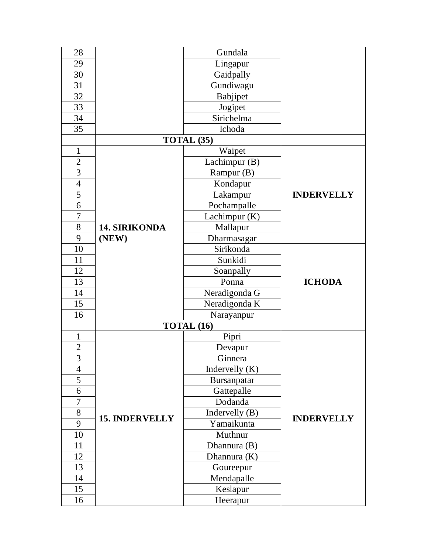| 28             |                       | Gundala          |                   |
|----------------|-----------------------|------------------|-------------------|
| 29             |                       | Lingapur         |                   |
| 30             |                       | Gaidpally        |                   |
| 31             |                       | Gundiwagu        |                   |
| 32             |                       | Babjipet         |                   |
| 33             |                       | Jogipet          |                   |
| 34             |                       | Sirichelma       |                   |
| 35             |                       | Ichoda           |                   |
|                |                       | TOTAL (35)       |                   |
| $\mathbf{1}$   |                       | Waipet           |                   |
| $\overline{c}$ |                       | Lachimpur (B)    |                   |
| $\overline{3}$ |                       | Rampur (B)       |                   |
| $\overline{4}$ |                       | Kondapur         |                   |
| $\overline{5}$ |                       | Lakampur         | <b>INDERVELLY</b> |
| 6              |                       | Pochampalle      |                   |
| 7              |                       | Lachimpur (K)    |                   |
| 8              | <b>14. SIRIKONDA</b>  | Mallapur         |                   |
| 9              | (NEW)                 | Dharmasagar      |                   |
| 10             |                       | Sirikonda        |                   |
| 11             |                       | Sunkidi          |                   |
| 12             |                       | Soanpally        |                   |
| 13             |                       | Ponna            | <b>ICHODA</b>     |
| 14             |                       | Neradigonda G    |                   |
| 15             |                       | Neradigonda K    |                   |
| 16             |                       | Narayanpur       |                   |
|                |                       | TOTAL (16)       |                   |
| $\mathbf{1}$   |                       | Pipri            |                   |
| $\overline{c}$ |                       | Devapur          |                   |
| $\overline{3}$ |                       | Ginnera          |                   |
| $\overline{4}$ |                       | Indervelly $(K)$ |                   |
| 5              |                       | Bursanpatar      |                   |
| 6              |                       | Gattepalle       |                   |
| $\overline{7}$ |                       | Dodanda          |                   |
| $8\,$          | <b>15. INDERVELLY</b> | Indervelly (B)   |                   |
| 9              |                       | Yamaikunta       | <b>INDERVELLY</b> |
| 10             |                       | Muthnur          |                   |
| 11             |                       | Dhannura (B)     |                   |
| 12             |                       | Dhannura (K)     |                   |
| 13             |                       | Goureepur        |                   |
| 14             |                       | Mendapalle       |                   |
| 15             |                       | Keslapur         |                   |
| 16             |                       | Heerapur         |                   |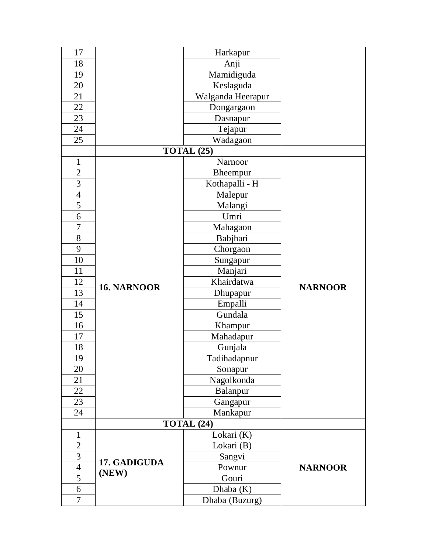| 17             |                       | Harkapur          |                |
|----------------|-----------------------|-------------------|----------------|
| 18             |                       | Anji              |                |
| 19             |                       | Mamidiguda        |                |
| 20             |                       | Keslaguda         |                |
| 21             |                       | Walganda Heerapur |                |
| 22             |                       | Dongargaon        |                |
| 23             |                       | Dasnapur          |                |
| 24             |                       | Tejapur           |                |
| 25             |                       | Wadagaon          |                |
|                |                       | TOTAL (25)        |                |
| $\mathbf{1}$   |                       | Narnoor           |                |
| $\overline{c}$ |                       | Bheempur          |                |
| $\overline{3}$ |                       | Kothapalli - H    |                |
| $\overline{4}$ |                       | Malepur           |                |
| 5              |                       | Malangi           |                |
| 6              |                       | Umri              |                |
| $\overline{7}$ |                       | Mahagaon          |                |
| 8              |                       | Babjhari          |                |
| 9              |                       | Chorgaon          |                |
| 10             |                       | Sungapur          |                |
| 11             |                       | Manjari           |                |
| 12             | <b>16. NARNOOR</b>    | Khairdatwa        | <b>NARNOOR</b> |
| 13             |                       | Dhupapur          |                |
| 14             |                       | Empalli           |                |
| 15             |                       | Gundala           |                |
| 16             |                       | Khampur           |                |
| 17             |                       | Mahadapur         |                |
| 18             |                       | Gunjala           |                |
| 19             |                       | Tadihadapnur      |                |
| 20             |                       | Sonapur           |                |
| 21             |                       | Nagolkonda        |                |
| 22             |                       | Balanpur          |                |
| 23             |                       | Gangapur          |                |
| 24             |                       | Mankapur          |                |
|                |                       | TOTAL (24)        |                |
| $\mathbf{1}$   |                       | Lokari (K)        |                |
| $\overline{c}$ |                       | Lokari (B)        |                |
| $\overline{3}$ | 17. GADIGUDA<br>(NEW) | Sangvi            |                |
| $\overline{4}$ |                       | Pownur            | <b>NARNOOR</b> |
| 5              |                       | Gouri             |                |
| 6              |                       | Dhaba $(K)$       |                |
| $\overline{7}$ |                       | Dhaba (Buzurg)    |                |